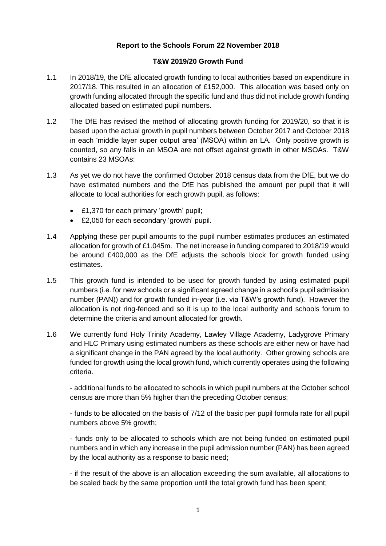## **Report to the Schools Forum 22 November 2018**

## **T&W 2019/20 Growth Fund**

- 1.1 In 2018/19, the DfE allocated growth funding to local authorities based on expenditure in 2017/18. This resulted in an allocation of £152,000. This allocation was based only on growth funding allocated through the specific fund and thus did not include growth funding allocated based on estimated pupil numbers.
- 1.2 The DfE has revised the method of allocating growth funding for 2019/20, so that it is based upon the actual growth in pupil numbers between October 2017 and October 2018 in each 'middle layer super output area' (MSOA) within an LA. Only positive growth is counted, so any falls in an MSOA are not offset against growth in other MSOAs. T&W contains 23 MSOAs:
- 1.3 As yet we do not have the confirmed October 2018 census data from the DfE, but we do have estimated numbers and the DfE has published the amount per pupil that it will allocate to local authorities for each growth pupil, as follows:
	- £1,370 for each primary 'growth' pupil;
	- £2,050 for each secondary 'growth' pupil.
- 1.4 Applying these per pupil amounts to the pupil number estimates produces an estimated allocation for growth of £1.045m. The net increase in funding compared to 2018/19 would be around £400,000 as the DfE adjusts the schools block for growth funded using estimates.
- 1.5 This growth fund is intended to be used for growth funded by using estimated pupil numbers (i.e. for new schools or a significant agreed change in a school's pupil admission number (PAN)) and for growth funded in-year (i.e. via T&W's growth fund). However the allocation is not ring-fenced and so it is up to the local authority and schools forum to determine the criteria and amount allocated for growth.
- 1.6 We currently fund Holy Trinity Academy, Lawley Village Academy, Ladygrove Primary and HLC Primary using estimated numbers as these schools are either new or have had a significant change in the PAN agreed by the local authority. Other growing schools are funded for growth using the local growth fund, which currently operates using the following criteria.

- additional funds to be allocated to schools in which pupil numbers at the October school census are more than 5% higher than the preceding October census;

- funds to be allocated on the basis of 7/12 of the basic per pupil formula rate for all pupil numbers above 5% growth;

- funds only to be allocated to schools which are not being funded on estimated pupil numbers and in which any increase in the pupil admission number (PAN) has been agreed by the local authority as a response to basic need;

- if the result of the above is an allocation exceeding the sum available, all allocations to be scaled back by the same proportion until the total growth fund has been spent;